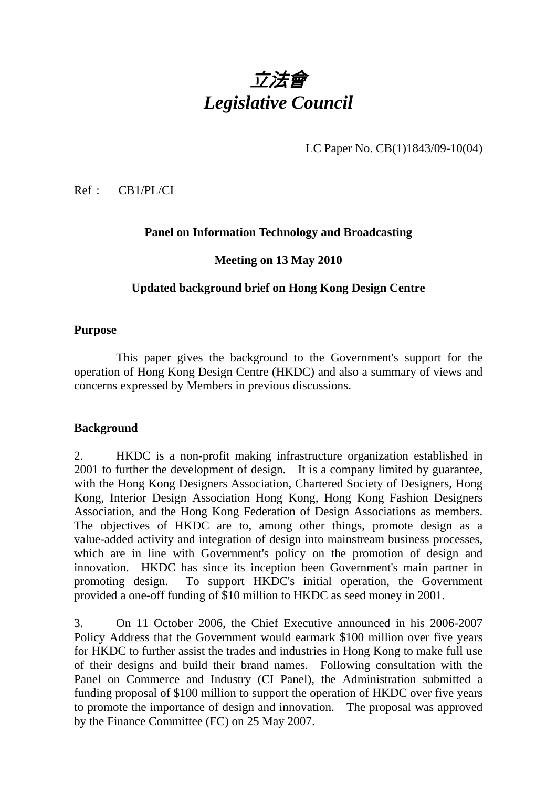

LC Paper No. CB(1)1843/09-10(04)

Ref : CB1/PL/CI

## **Panel on Information Technology and Broadcasting**

#### **Meeting on 13 May 2010**

#### **Updated background brief on Hong Kong Design Centre**

#### **Purpose**

 This paper gives the background to the Government's support for the operation of Hong Kong Design Centre (HKDC) and also a summary of views and concerns expressed by Members in previous discussions.

#### **Background**

2. HKDC is a non-profit making infrastructure organization established in 2001 to further the development of design. It is a company limited by guarantee, with the Hong Kong Designers Association, Chartered Society of Designers, Hong Kong, Interior Design Association Hong Kong, Hong Kong Fashion Designers Association, and the Hong Kong Federation of Design Associations as members. The objectives of HKDC are to, among other things, promote design as a value-added activity and integration of design into mainstream business processes, which are in line with Government's policy on the promotion of design and innovation. HKDC has since its inception been Government's main partner in promoting design. To support HKDC's initial operation, the Government provided a one-off funding of \$10 million to HKDC as seed money in 2001.

3. On 11 October 2006, the Chief Executive announced in his 2006-2007 Policy Address that the Government would earmark \$100 million over five years for HKDC to further assist the trades and industries in Hong Kong to make full use of their designs and build their brand names. Following consultation with the Panel on Commerce and Industry (CI Panel), the Administration submitted a funding proposal of \$100 million to support the operation of HKDC over five years to promote the importance of design and innovation. The proposal was approved by the Finance Committee (FC) on 25 May 2007.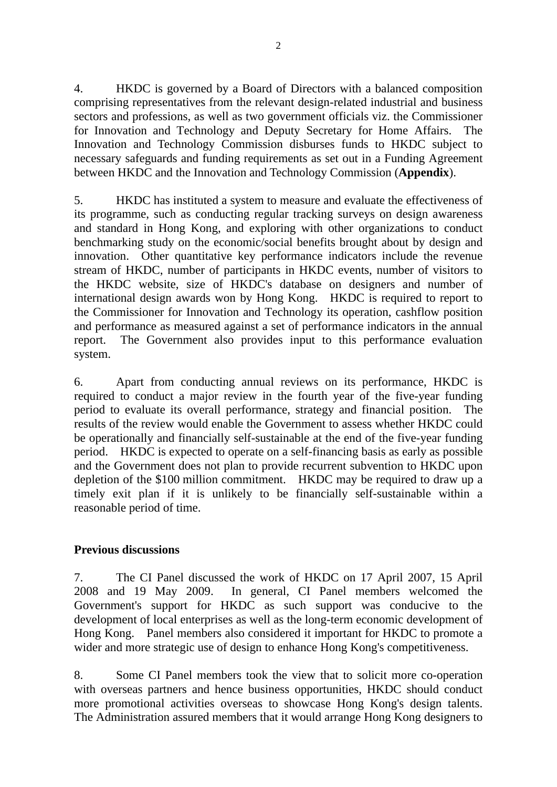4. HKDC is governed by a Board of Directors with a balanced composition comprising representatives from the relevant design-related industrial and business sectors and professions, as well as two government officials viz. the Commissioner for Innovation and Technology and Deputy Secretary for Home Affairs. The Innovation and Technology Commission disburses funds to HKDC subject to necessary safeguards and funding requirements as set out in a Funding Agreement between HKDC and the Innovation and Technology Commission (**Appendix**).

5. HKDC has instituted a system to measure and evaluate the effectiveness of its programme, such as conducting regular tracking surveys on design awareness and standard in Hong Kong, and exploring with other organizations to conduct benchmarking study on the economic/social benefits brought about by design and innovation. Other quantitative key performance indicators include the revenue stream of HKDC, number of participants in HKDC events, number of visitors to the HKDC website, size of HKDC's database on designers and number of international design awards won by Hong Kong. HKDC is required to report to the Commissioner for Innovation and Technology its operation, cashflow position and performance as measured against a set of performance indicators in the annual report. The Government also provides input to this performance evaluation system.

6. Apart from conducting annual reviews on its performance, HKDC is required to conduct a major review in the fourth year of the five-year funding period to evaluate its overall performance, strategy and financial position. The results of the review would enable the Government to assess whether HKDC could be operationally and financially self-sustainable at the end of the five-year funding period. HKDC is expected to operate on a self-financing basis as early as possible and the Government does not plan to provide recurrent subvention to HKDC upon depletion of the \$100 million commitment. HKDC may be required to draw up a timely exit plan if it is unlikely to be financially self-sustainable within a reasonable period of time.

## **Previous discussions**

7. The CI Panel discussed the work of HKDC on 17 April 2007, 15 April 2008 and 19 May 2009. In general, CI Panel members welcomed the Government's support for HKDC as such support was conducive to the development of local enterprises as well as the long-term economic development of Hong Kong. Panel members also considered it important for HKDC to promote a wider and more strategic use of design to enhance Hong Kong's competitiveness.

8. Some CI Panel members took the view that to solicit more co-operation with overseas partners and hence business opportunities, HKDC should conduct more promotional activities overseas to showcase Hong Kong's design talents. The Administration assured members that it would arrange Hong Kong designers to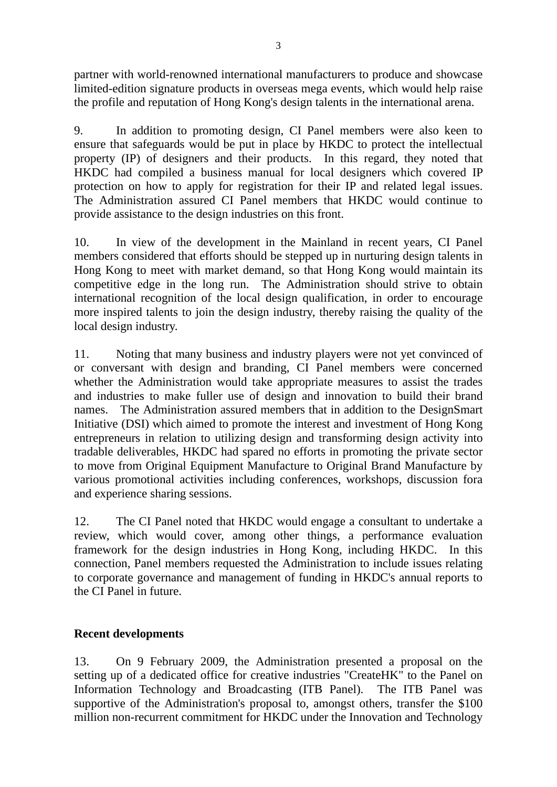partner with world-renowned international manufacturers to produce and showcase limited-edition signature products in overseas mega events, which would help raise the profile and reputation of Hong Kong's design talents in the international arena.

9. In addition to promoting design, CI Panel members were also keen to ensure that safeguards would be put in place by HKDC to protect the intellectual property (IP) of designers and their products. In this regard, they noted that HKDC had compiled a business manual for local designers which covered IP protection on how to apply for registration for their IP and related legal issues. The Administration assured CI Panel members that HKDC would continue to provide assistance to the design industries on this front.

10. In view of the development in the Mainland in recent years, CI Panel members considered that efforts should be stepped up in nurturing design talents in Hong Kong to meet with market demand, so that Hong Kong would maintain its competitive edge in the long run. The Administration should strive to obtain international recognition of the local design qualification, in order to encourage more inspired talents to join the design industry, thereby raising the quality of the local design industry.

11. Noting that many business and industry players were not yet convinced of or conversant with design and branding, CI Panel members were concerned whether the Administration would take appropriate measures to assist the trades and industries to make fuller use of design and innovation to build their brand names. The Administration assured members that in addition to the DesignSmart Initiative (DSI) which aimed to promote the interest and investment of Hong Kong entrepreneurs in relation to utilizing design and transforming design activity into tradable deliverables, HKDC had spared no efforts in promoting the private sector to move from Original Equipment Manufacture to Original Brand Manufacture by various promotional activities including conferences, workshops, discussion fora and experience sharing sessions.

12. The CI Panel noted that HKDC would engage a consultant to undertake a review, which would cover, among other things, a performance evaluation framework for the design industries in Hong Kong, including HKDC. In this connection, Panel members requested the Administration to include issues relating to corporate governance and management of funding in HKDC's annual reports to the CI Panel in future.

## **Recent developments**

13. On 9 February 2009, the Administration presented a proposal on the setting up of a dedicated office for creative industries "CreateHK" to the Panel on Information Technology and Broadcasting (ITB Panel). The ITB Panel was supportive of the Administration's proposal to, amongst others, transfer the \$100 million non-recurrent commitment for HKDC under the Innovation and Technology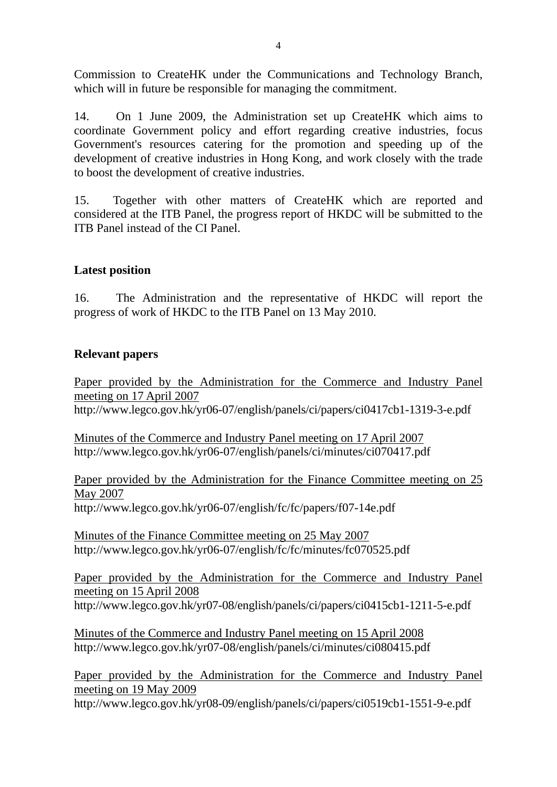Commission to CreateHK under the Communications and Technology Branch, which will in future be responsible for managing the commitment.

14. On 1 June 2009, the Administration set up CreateHK which aims to coordinate Government policy and effort regarding creative industries, focus Government's resources catering for the promotion and speeding up of the development of creative industries in Hong Kong, and work closely with the trade to boost the development of creative industries.

15. Together with other matters of CreateHK which are reported and considered at the ITB Panel, the progress report of HKDC will be submitted to the ITB Panel instead of the CI Panel.

# **Latest position**

16. The Administration and the representative of HKDC will report the progress of work of HKDC to the ITB Panel on 13 May 2010.

## **Relevant papers**

Paper provided by the Administration for the Commerce and Industry Panel meeting on 17 April 2007 http://www.legco.gov.hk/yr06-07/english/panels/ci/papers/ci0417cb1-1319-3-e.pdf

Minutes of the Commerce and Industry Panel meeting on 17 April 2007 http://www.legco.gov.hk/yr06-07/english/panels/ci/minutes/ci070417.pdf

Paper provided by the Administration for the Finance Committee meeting on 25 May 2007 http://www.legco.gov.hk/yr06-07/english/fc/fc/papers/f07-14e.pdf

Minutes of the Finance Committee meeting on 25 May 2007 http://www.legco.gov.hk/yr06-07/english/fc/fc/minutes/fc070525.pdf

Paper provided by the Administration for the Commerce and Industry Panel meeting on 15 April 2008 http://www.legco.gov.hk/yr07-08/english/panels/ci/papers/ci0415cb1-1211-5-e.pdf

Minutes of the Commerce and Industry Panel meeting on 15 April 2008 http://www.legco.gov.hk/yr07-08/english/panels/ci/minutes/ci080415.pdf

Paper provided by the Administration for the Commerce and Industry Panel meeting on 19 May 2009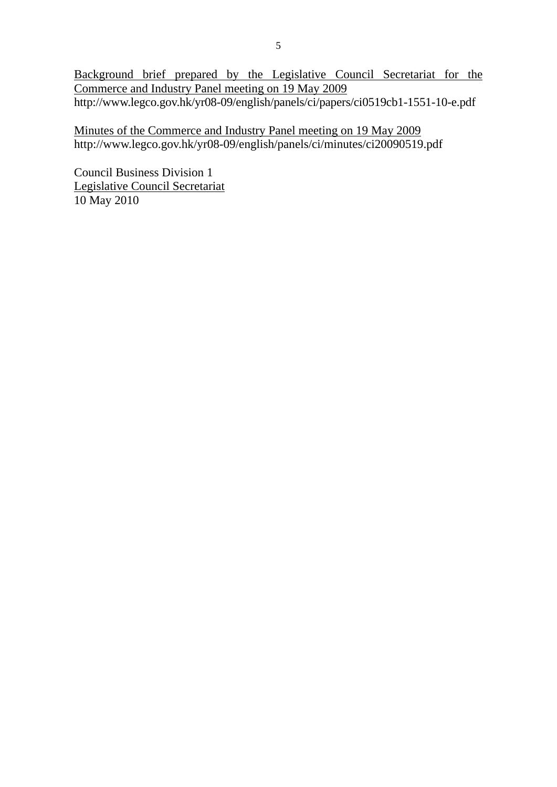Background brief prepared by the Legislative Council Secretariat for the Commerce and Industry Panel meeting on 19 May 2009 http://www.legco.gov.hk/yr08-09/english/panels/ci/papers/ci0519cb1-1551-10-e.pdf

Minutes of the Commerce and Industry Panel meeting on 19 May 2009 http://www.legco.gov.hk/yr08-09/english/panels/ci/minutes/ci20090519.pdf

Council Business Division 1 Legislative Council Secretariat 10 May 2010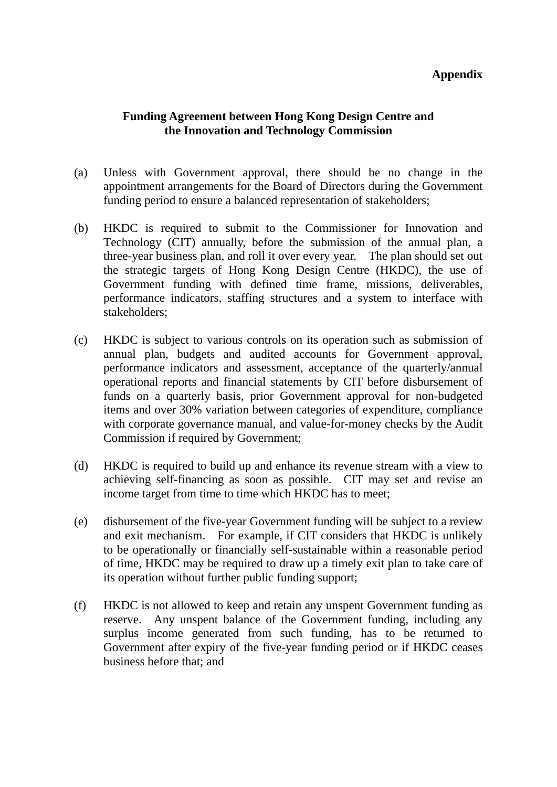## **Appendix**

# **Funding Agreement between Hong Kong Design Centre and the Innovation and Technology Commission**

- (a) Unless with Government approval, there should be no change in the appointment arrangements for the Board of Directors during the Government funding period to ensure a balanced representation of stakeholders;
- (b) HKDC is required to submit to the Commissioner for Innovation and Technology (CIT) annually, before the submission of the annual plan, a three-year business plan, and roll it over every year. The plan should set out the strategic targets of Hong Kong Design Centre (HKDC), the use of Government funding with defined time frame, missions, deliverables, performance indicators, staffing structures and a system to interface with stakeholders;
- (c) HKDC is subject to various controls on its operation such as submission of annual plan, budgets and audited accounts for Government approval, performance indicators and assessment, acceptance of the quarterly/annual operational reports and financial statements by CIT before disbursement of funds on a quarterly basis, prior Government approval for non-budgeted items and over 30% variation between categories of expenditure, compliance with corporate governance manual, and value-for-money checks by the Audit Commission if required by Government;
- (d) HKDC is required to build up and enhance its revenue stream with a view to achieving self-financing as soon as possible. CIT may set and revise an income target from time to time which HKDC has to meet;
- (e) disbursement of the five-year Government funding will be subject to a review and exit mechanism. For example, if CIT considers that HKDC is unlikely to be operationally or financially self-sustainable within a reasonable period of time, HKDC may be required to draw up a timely exit plan to take care of its operation without further public funding support;
- (f) HKDC is not allowed to keep and retain any unspent Government funding as reserve. Any unspent balance of the Government funding, including any surplus income generated from such funding, has to be returned to Government after expiry of the five-year funding period or if HKDC ceases business before that: and